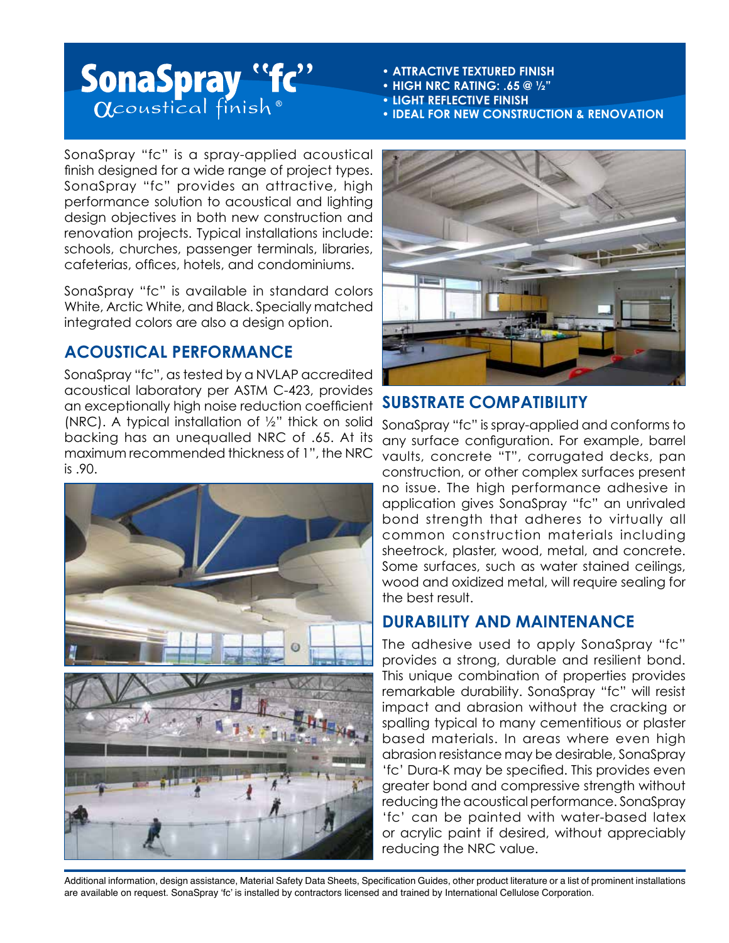# SonaSpray "fc"

- **ATTRACTIVE TEXTURED FINISH**
- **HIGH NRC RATING: .65 @ ½"**
- **LIGHT REFLECTIVE FINISH**
- **IDEAL FOR NEW CONSTRUCTION & RENOVATION**

SonaSpray "fc" is a spray-applied acoustical finish designed for a wide range of project types. SonaSpray "fc" provides an attractive, high performance solution to acoustical and lighting design objectives in both new construction and renovation projects. Typical installations include: schools, churches, passenger terminals, libraries, cafeterias, offices, hotels, and condominiums.

SonaSpray "fc" is available in standard colors White, Arctic White, and Black. Specially matched integrated colors are also a design option.

## **ACOUSTICAL PERFORMANCE**

SonaSpray "fc", as tested by a NVLAP accredited acoustical laboratory per ASTM C-423, provides an exceptionally high noise reduction coefficient (NRC). A typical installation of ½" thick on solid backing has an unequalled NRC of .65. At its maximum recommended thickness of 1", the NRC is .90.





### **SUBSTRATE COMPATIBILITY**

SonaSpray "fc" is spray-applied and conforms to any surface configuration. For example, barrel vaults, concrete "T", corrugated decks, pan construction, or other complex surfaces present no issue. The high performance adhesive in application gives SonaSpray "fc" an unrivaled bond strength that adheres to virtually all common construction materials including sheetrock, plaster, wood, metal, and concrete. Some surfaces, such as water stained ceilings, wood and oxidized metal, will require sealing for the best result.

#### **DURABILITY AND MAINTENANCE**

The adhesive used to apply SonaSpray "fc" provides a strong, durable and resilient bond. This unique combination of properties provides remarkable durability. SonaSpray "fc" will resist impact and abrasion without the cracking or spalling typical to many cementitious or plaster based materials. In areas where even high abrasion resistance may be desirable, SonaSpray 'fc' Dura-K may be specified. This provides even greater bond and compressive strength without reducing the acoustical performance. SonaSpray 'fc' can be painted with water-based latex or acrylic paint if desired, without appreciably reducing the NRC value.

Additional information, design assistance, Material Safety Data Sheets, Specification Guides, other product literature or a list of prominent installations are available on request. SonaSpray 'fc' is installed by contractors licensed and trained by International Cellulose Corporation.